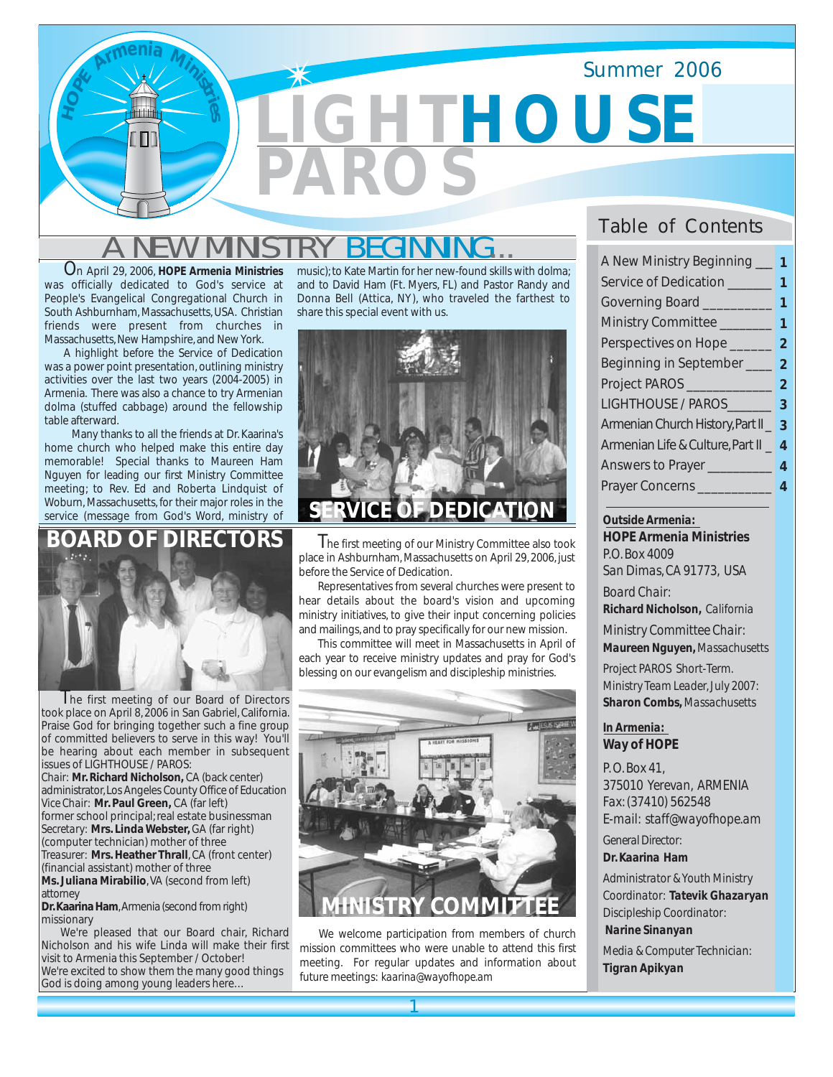

# A NEW MINISTRY BEGINNING...

On April 29, 2006, *HOPE Armenia Ministries* was officially dedicated to God's service at People's Evangelical Congregational Church in South Ashburnham, Massachusetts, USA. Christian friends were present from churches in Massachusetts, New Hampshire, and New York.

A highlight before the Service of Dedication was a power point presentation, outlining ministry activities over the last two years (2004-2005) in Armenia. There was also a chance to try Armenian dolma (stuffed cabbage) around the fellowship table afterward.

Many thanks to all the friends at Dr. Kaarina's home church who helped make this entire day memorable! Special thanks to Maureen Ham Nguyen for leading our first Ministry Committee meeting; to Rev. Ed and Roberta Lindquist of Woburn, Massachusetts, for their major roles in the service (message from God's Word, ministry of

## **DE DIRECTORS**



I he first meeting of our Board of Directors took place on April 8, 2006 in San Gabriel, California. Praise God for bringing together such a fine group of committed believers to serve in this way! You'll be hearing about each member in subsequent issues of LIGHTHOUSE / PAROS: *Chair:* **Mr. Richard Nicholson,** CA (back center)

administrator, Los Angeles County Office of Education *Vice Chair:* **Mr. Paul Green,** CA (far left) former school principal; real estate businessman *Secretary:* **Mrs. Linda Webster,** GA (far right) (computer technician) mother of three *Treasurer:* **Mrs. Heather Thrall**, CA (front center) (financial assistant) mother of three **Ms. Juliana Mirabilio**, VA (second from left) attorney

**Dr. Kaarina Ham**, Armenia (second from right) missionary

We're pleased that our Board chair, Richard Nicholson and his wife Linda will make their first visit to Armenia this September / October! We're excited to show them the many good things God is doing among young leaders here…

music); to Kate Martin for her new-found skills with dolma; and to David Ham (Ft. Myers, FL) and Pastor Randy and Donna Bell (Attica, NY), who traveled the farthest to share this special event with us.



I he first meeting of our Ministry Committee also took place in Ashburnham, Massachusetts on April 29, 2006, just before the Service of Dedication.

Representatives from several churches were present to hear details about the board's vision and upcoming ministry initiatives, to give their input concerning policies and mailings, and to pray specifically for our new mission.

This committee will meet in Massachusetts in April of each year to receive ministry updates and pray for God's blessing on our evangelism and discipleship ministries.



We welcome participation from members of church mission committees who were unable to attend this first meeting. For regular updates and information about future meetings: *kaarina@wayofhope.am* 

## Table of Contents

| A New Ministry Beginning 1           |                |  |
|--------------------------------------|----------------|--|
| Service of Dedication<br>-1          |                |  |
| Governing Board _________            | 1              |  |
| Ministry Committee                   | 1              |  |
| Perspectives on Hope __________ 2    |                |  |
| Beginning in September ______ 2      |                |  |
| Project PAROS                        | $\overline{2}$ |  |
| LIGHTHOUSE / PAROS_________ 3        |                |  |
| Armenian Church History, Part II _ 3 |                |  |
| Armenian Life & Culture, Part II _ 4 |                |  |
| Answers to Prayer                    | 4              |  |
| Prayer Concerns                      | 4              |  |

*Outside Armenia: HOPE Armenia Ministries P.O. Box 4009 San Dimas, CA 91773, USA Board Chair: Richard Nicholson, California Ministry Committee Chair:*

*Maureen Nguyen, Massachusetts Project PAROS Short-Term.*

*Ministry Team Leader, July 2007: Sharon Combs, Massachusetts*

#### *In Armenia: Way of HOPE*

*P. O. Box 41, 375010 Yerevan, ARMENIA Fax: (37410) 562548 E-mail: staff@wayofhope.am*

*General Director: Dr. Kaarina Ham*

*Administrator & Youth Ministry Coordinator: Tatevik Ghazaryan Discipleship Coordinator:*

#### *Narine Sinanyan*

*Media & Computer Technician: Tigran Apikyan*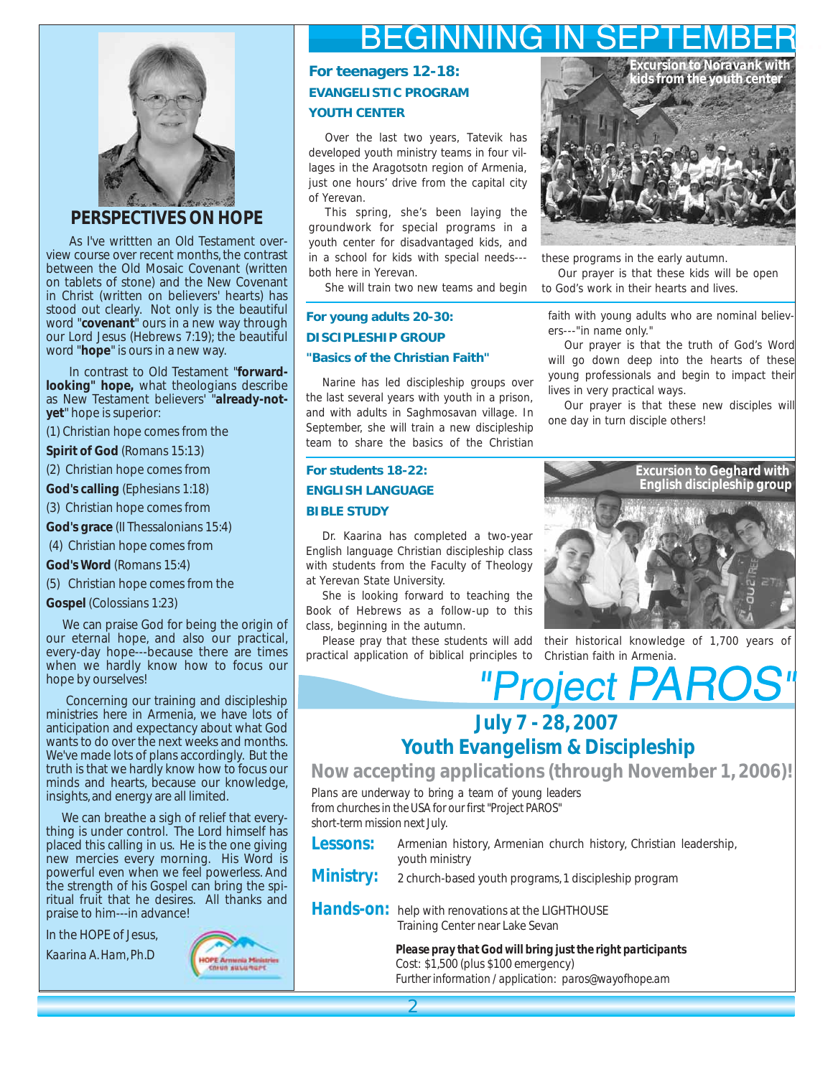

## *PERSPECTIVES ON HOPE*

 As I've writtten an Old Testament overview course over recent months, the contrast between the Old Mosaic Covenant (written on tablets of stone) and the New Covenant in Christ (written on believers' hearts) has stood out clearly. Not only is the beautiful word "**covenant**" ours in a new way through our Lord Jesus (Hebrews 7:19); the beautiful word "**hope**" is ours in a new way.

 In contrast to Old Testament "**forwardlooking" hope,** what theologians describe as New Testament believers' "**already-notyet**" hope is superior:

(1) Christian hope comes from the

**Spirit of God** (Romans 15:13)

- (2) Christian hope comes from
- **God's calling** (Ephesians 1:18)

(3) Christian hope comes from

**God's grace** (II Thessalonians 15:4)

(4) Christian hope comes from

**God's Word** (Romans 15:4)

(5) Christian hope comes from the

**Gospel** (Colossians 1:23)

 We can praise God for being the origin of our eternal hope, and also our practical, every-day hope---because there are times when we hardly know how to focus our hope by ourselves!

 Concerning our training and discipleship ministries here in Armenia, we have lots of anticipation and expectancy about what God wants to do over the next weeks and months. We've made lots of plans accordingly. But the truth is that we hardly know how to focus our minds and hearts, because our knowledge, insights, and energy are all limited.

 We can breathe a sigh of relief that everything is under control. The Lord himself has placed this calling in us. He is the one giving new mercies every morning. His Word is powerful even when we feel powerless. And the strength of his Gospel can bring the spiritual fruit that he desires. All thanks and praise to him---in advance!

In the HOPE of Jesus,

*Kaarina A. Ham, Ph.D*



# **BEGINNING IN SEPTEMBER**

## **For teenagers 12-18: EVANGELISTIC PROGRAM YOUTH CENTER**

Over the last two years, Tatevik has developed youth ministry teams in four villages in the Aragotsotn region of Armenia, just one hours' drive from the capital city of Yerevan.

This spring, she's been laying the groundwork for special programs in a youth center for disadvantaged kids, and in a school for kids with special needs-- both here in Yerevan.

She will train two new teams and begin

#### **For young adults 20-30: DISCIPLESHIP GROUP "Basics of the Christian Faith"**

Narine has led discipleship groups over the last several years with youth in a prison, and with adults in Saghmosavan village. In September, she will train a new discipleship team to share the basics of the Christian

## **For students 18-22: ENGLISH LANGUAGE BIBLE STUDY**

Dr. Kaarina has completed a two-year English language Christian discipleship class with students from the Faculty of Theology at Yerevan State University.

She is looking forward to teaching the Book of Hebrews as a follow-up to this class, beginning in the autumn.

Please pray that these students will add practical application of biblical principles to Christian faith in Armenia.



these programs in the early autumn.

Our prayer is that these kids will be open to God's work in their hearts and lives.

faith with young adults who are nominal believers---"in name only."

Our prayer is that the truth of God's Word will go down deep into the hearts of these young professionals and begin to impact their lives in very practical ways.

Our prayer is that these new disciples will one day in turn disciple others!



their historical knowledge of 1,700 years of

# "Project PAROS" **July 7 - 28, 2007**

## **Youth Evangelism & Discipleship**

**Now accepting applications (through November 1, 2006)!**

*Plans are underway to bring a team of young leaders from churches in the USA for our first "Project PAROS" short-term mission next July.*

- *Lessons:* Armenian history, Armenian church history, Christian leadership, youth ministry
- *Ministry:*  2 church-based youth programs, 1 discipleship program

Hands-on: help with renovations at the LIGHTHOUSE Training Center near Lake Sevan

> *Please pray that God will bring just the right participants* Cost: \$1,500 (plus \$100 emergency) *Further information / application: paros@wayofhope.am*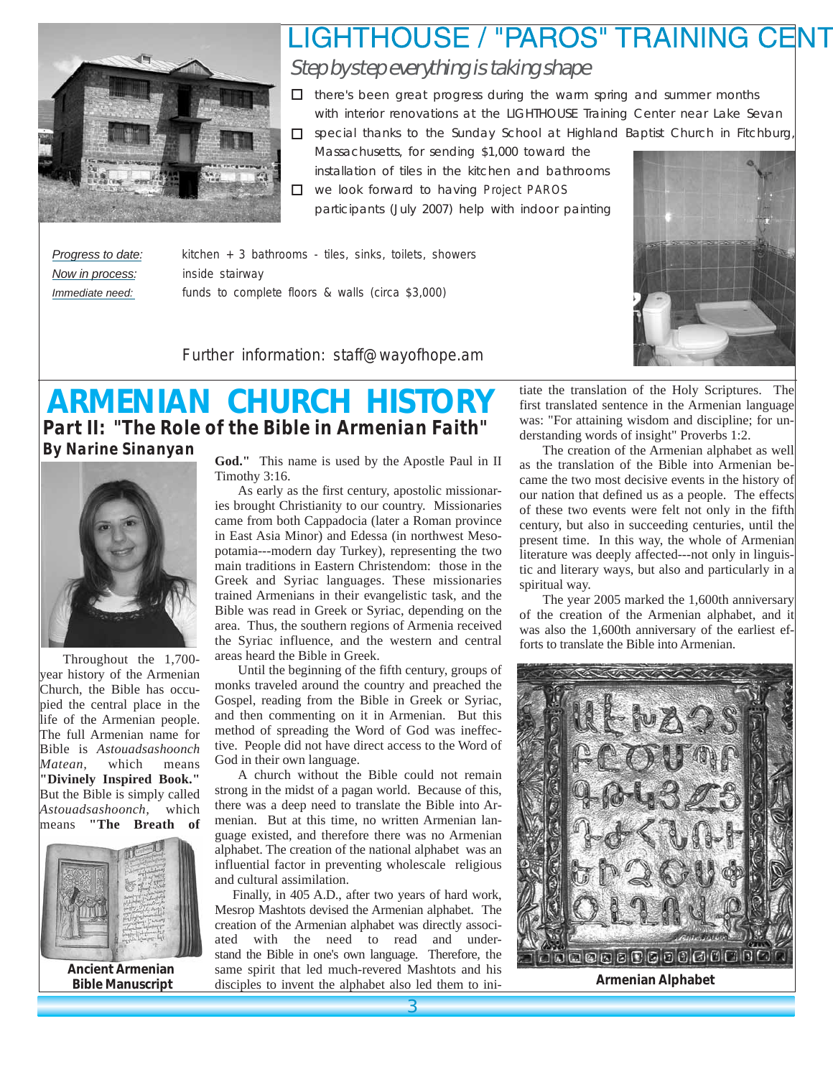

# LIGHTHOUSE / "PAROS" TRAINING CENT Step by step everything is taking shape

□ there's been great progress during the warm spring and summer months with interior renovations at the LIGHTHOUSE Training Center near Lake Sevan

□ special thanks to the Sunday School at Highland Baptist Church in Fitchburg, Massachusetts, for sending \$1,000 toward the installation of tiles in the kitchen and bathrooms

we look forward to having *Project PAROS* participants (July 2007) help with indoor painting

*Now in process: inside stairway*

*Progress to date: kitchen + 3 bathrooms - tiles, sinks, toilets, showers Immediate need: funds to complete floors & walls (circa \$3,000)*



*Further information: staff@wayofhope.am*

## **ARMENIAN CHURCH HISTORY** *Part II: "The Role of the Bible in Armenian Faith" By Narine Sinanyan*



Throughout the 1,700 year history of the Armenian Church, the Bible has occupied the central place in the life of the Armenian people. The full Armenian name for Bible is *Astouadsashoonch Matean,* which means **"Divinely Inspired Book."** But the Bible is simply called *Astouadsashoonch,* which means **"The Breath of** 



**Ancient Armenian Bible Manuscript**

**God."** This name is used by the Apostle Paul in II Timothy 3:16.

As early as the first century, apostolic missionaries brought Christianity to our country. Missionaries came from both Cappadocia (later a Roman province in East Asia Minor) and Edessa (in northwest Mesopotamia---modern day Turkey), representing the two main traditions in Eastern Christendom: those in the Greek and Syriac languages. These missionaries trained Armenians in their evangelistic task, and the Bible was read in Greek or Syriac, depending on the area. Thus, the southern regions of Armenia received the Syriac influence, and the western and central areas heard the Bible in Greek.

Until the beginning of the fifth century, groups of monks traveled around the country and preached the Gospel, reading from the Bible in Greek or Syriac, and then commenting on it in Armenian. But this method of spreading the Word of God was ineffective. People did not have direct access to the Word of God in their own language.

A church without the Bible could not remain strong in the midst of a pagan world. Because of this, there was a deep need to translate the Bible into Armenian. But at this time, no written Armenian language existed, and therefore there was no Armenian alphabet. The creation of the national alphabet was an influential factor in preventing wholescale religious and cultural assimilation.

Finally, in 405 A.D., after two years of hard work, Mesrop Mashtots devised the Armenian alphabet. The creation of the Armenian alphabet was directly associated with the need to read and understand the Bible in one's own language. Therefore, the same spirit that led much-revered Mashtots and his disciples to invent the alphabet also led them to initiate the translation of the Holy Scriptures. The first translated sentence in the Armenian language was: "For attaining wisdom and discipline; for understanding words of insight" Proverbs 1:2.

The creation of the Armenian alphabet as well as the translation of the Bible into Armenian became the two most decisive events in the history of our nation that defined us as a people. The effects of these two events were felt not only in the fifth century, but also in succeeding centuries, until the present time. In this way, the whole of Armenian literature was deeply affected---not only in linguistic and literary ways, but also and particularly in a spiritual way.

The year 2005 marked the 1,600th anniversary of the creation of the Armenian alphabet, and it was also the 1,600th anniversary of the earliest efforts to translate the Bible into Armenian.



**Armenian Alphabet**